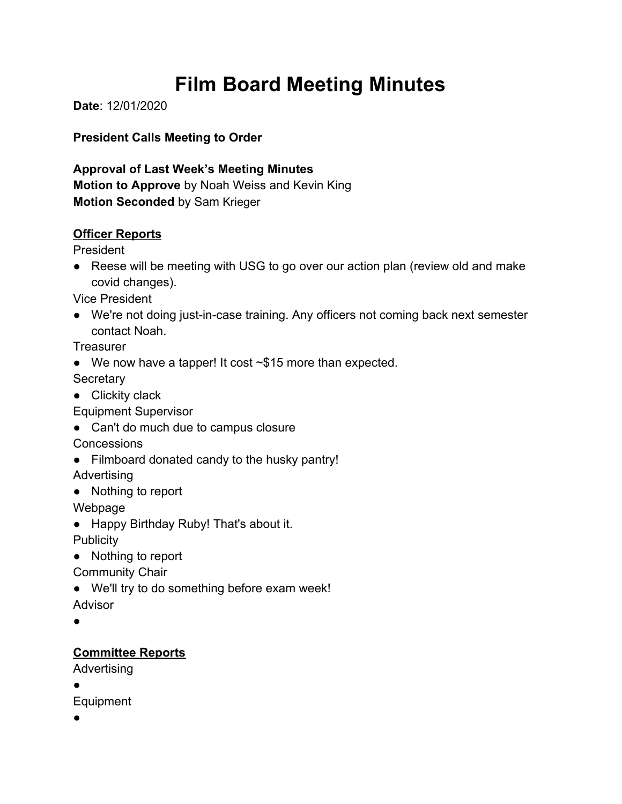# **Film Board Meeting Minutes**

**Date**: 12/01/2020

**President Calls Meeting to Order**

**Approval of Last Week's Meeting Minutes Motion to Approve** by Noah Weiss and Kevin King **Motion Seconded** by Sam Krieger

#### **Officer Reports**

President

● Reese will be meeting with USG to go over our action plan (review old and make covid changes).

Vice President

● We're not doing just-in-case training. Any officers not coming back next semester contact Noah.

**Treasurer** 

● We now have a tapper! It cost ~\$15 more than expected.

**Secretary** 

● Clickity clack

Equipment Supervisor

● Can't do much due to campus closure

**Concessions** 

● Filmboard donated candy to the husky pantry!

Advertising

● Nothing to report

Webpage

● Happy Birthday Ruby! That's about it.

**Publicity** 

● Nothing to report

Community Chair

● We'll try to do something before exam week!

Advisor

●

## **Committee Reports**

Advertising

●

Equipment

●